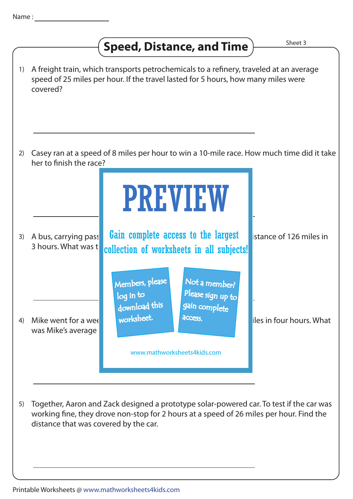## **Speed, Distance, and Time Shearly**

| 1) | A freight train, which transports petrochemicals to a refinery, traveled at an average<br>speed of 25 miles per hour. If the travel lasted for 5 hours, how many miles were<br>covered? |                                                                                                                                                              |                          |
|----|-----------------------------------------------------------------------------------------------------------------------------------------------------------------------------------------|--------------------------------------------------------------------------------------------------------------------------------------------------------------|--------------------------|
| 2) | her to finish the race?                                                                                                                                                                 | Casey ran at a speed of 8 miles per hour to win a 10-mile race. How much time did it take                                                                    |                          |
|    |                                                                                                                                                                                         | <b>PREVIEW</b>                                                                                                                                               |                          |
| 3) | A bus, carrying pass<br>3 hours. What was t                                                                                                                                             | Gain complete access to the largest<br>collection of worksheets in all subjects!                                                                             | istance of 126 miles in  |
| 4) | Mike went for a wee<br>was Mike's average                                                                                                                                               | Members, please<br>Not a member?<br>Please sign up to<br>log in to<br>gain complete<br>download this<br>worksheet.<br>access.<br>www.mathworksheets4kids.com | iles in four hours. What |
|    |                                                                                                                                                                                         |                                                                                                                                                              |                          |

5) Together, Aaron and Zack designed a prototype solar-powered car. To test if the car was working fine, they drove non-stop for 2 hours at a speed of 26 miles per hour. Find the distance that was covered by the car.